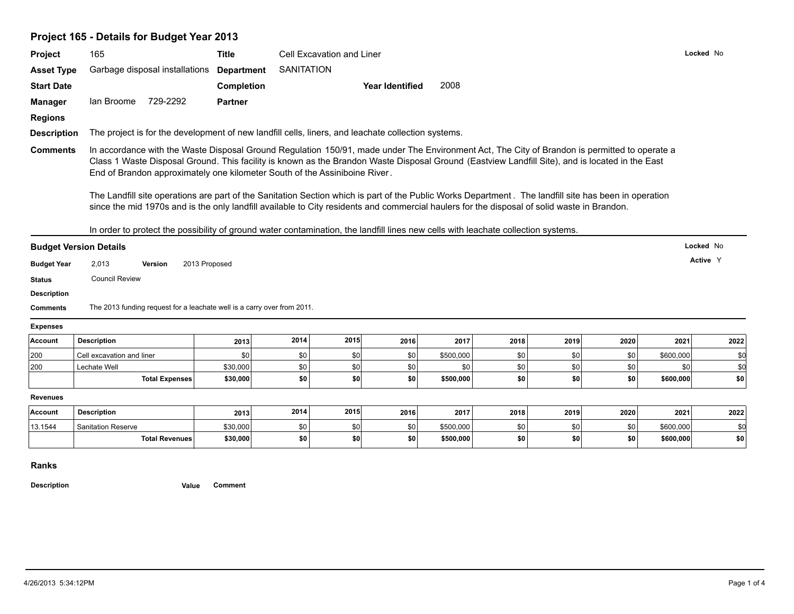| Project                                                                                                                                                                                            | 165                                                                                                                                                                                                                                                                                                                                                                                                                                                                                                                                                                                                                                                                                    | Title             |                   | Cell Excavation and Liner |                        |           |      |                |      |           | Locked No             |
|----------------------------------------------------------------------------------------------------------------------------------------------------------------------------------------------------|----------------------------------------------------------------------------------------------------------------------------------------------------------------------------------------------------------------------------------------------------------------------------------------------------------------------------------------------------------------------------------------------------------------------------------------------------------------------------------------------------------------------------------------------------------------------------------------------------------------------------------------------------------------------------------------|-------------------|-------------------|---------------------------|------------------------|-----------|------|----------------|------|-----------|-----------------------|
| <b>Asset Type</b>                                                                                                                                                                                  | Garbage disposal installations                                                                                                                                                                                                                                                                                                                                                                                                                                                                                                                                                                                                                                                         | <b>Department</b> | <b>SANITATION</b> |                           |                        |           |      |                |      |           |                       |
| <b>Start Date</b>                                                                                                                                                                                  |                                                                                                                                                                                                                                                                                                                                                                                                                                                                                                                                                                                                                                                                                        | Completion        |                   |                           | <b>Year Identified</b> | 2008      |      |                |      |           |                       |
| <b>Manager</b>                                                                                                                                                                                     | lan Broome 729-2292                                                                                                                                                                                                                                                                                                                                                                                                                                                                                                                                                                                                                                                                    | <b>Partner</b>    |                   |                           |                        |           |      |                |      |           |                       |
| <b>Regions</b>                                                                                                                                                                                     |                                                                                                                                                                                                                                                                                                                                                                                                                                                                                                                                                                                                                                                                                        |                   |                   |                           |                        |           |      |                |      |           |                       |
| <b>Description</b>                                                                                                                                                                                 | The project is for the development of new landfill cells, liners, and leachate collection systems.                                                                                                                                                                                                                                                                                                                                                                                                                                                                                                                                                                                     |                   |                   |                           |                        |           |      |                |      |           |                       |
| <b>Comments</b>                                                                                                                                                                                    | In accordance with the Waste Disposal Ground Regulation 150/91, made under The Environment Act, The City of Brandon is permitted to operate a<br>Class 1 Waste Disposal Ground. This facility is known as the Brandon Waste Disposal Ground (Eastview Landfill Site), and is located in the East<br>End of Brandon approximately one kilometer South of the Assiniboine River.<br>The Landfill site operations are part of the Sanitation Section which is part of the Public Works Department. The landfill site has been in operation<br>since the mid 1970s and is the only landfill available to City residents and commercial haulers for the disposal of solid waste in Brandon. |                   |                   |                           |                        |           |      |                |      |           |                       |
|                                                                                                                                                                                                    | In order to protect the possibility of ground water contamination, the landfill lines new cells with leachate collection systems.<br>2,013<br><b>Version</b><br><b>Council Review</b>                                                                                                                                                                                                                                                                                                                                                                                                                                                                                                  | 2013 Proposed     |                   |                           |                        |           |      |                |      |           | Locked No<br>Active Y |
|                                                                                                                                                                                                    | The 2013 funding request for a leachate well is a carry over from 2011.                                                                                                                                                                                                                                                                                                                                                                                                                                                                                                                                                                                                                |                   |                   |                           |                        |           |      |                |      |           |                       |
|                                                                                                                                                                                                    |                                                                                                                                                                                                                                                                                                                                                                                                                                                                                                                                                                                                                                                                                        |                   |                   |                           |                        |           |      |                |      |           |                       |
|                                                                                                                                                                                                    | <b>Description</b>                                                                                                                                                                                                                                                                                                                                                                                                                                                                                                                                                                                                                                                                     | 2013              | 2014              | 2015                      | 2016                   | 2017      | 2018 | 2019           | 2020 | 2021      | 2022                  |
|                                                                                                                                                                                                    | Cell excavation and liner                                                                                                                                                                                                                                                                                                                                                                                                                                                                                                                                                                                                                                                              | \$0               | \$0               | \$0                       | \$0                    | \$500,000 | \$0  | \$0            | \$0  | \$600,000 | \$d                   |
|                                                                                                                                                                                                    | Lechate Well                                                                                                                                                                                                                                                                                                                                                                                                                                                                                                                                                                                                                                                                           | \$30,000          | \$0               | \$0                       | \$0                    | \$0       | \$0  | $\frac{1}{20}$ | \$0  | \$0       | \$d                   |
|                                                                                                                                                                                                    | <b>Total Expenses</b>                                                                                                                                                                                                                                                                                                                                                                                                                                                                                                                                                                                                                                                                  | \$30,000          | \$0               | \$0                       | \$0                    | \$500,000 | \$0  | \$0            | \$0  | \$600,000 | \$0                   |
|                                                                                                                                                                                                    |                                                                                                                                                                                                                                                                                                                                                                                                                                                                                                                                                                                                                                                                                        |                   |                   |                           |                        |           |      |                |      |           |                       |
|                                                                                                                                                                                                    | <b>Description</b>                                                                                                                                                                                                                                                                                                                                                                                                                                                                                                                                                                                                                                                                     | 2013              | 2014              | 2015                      | 2016                   | 2017      | 2018 | 2019           | 2020 | 2021      | 2022                  |
| <b>Budget Version Details</b><br><b>Budget Year</b><br><b>Status</b><br><b>Description</b><br><b>Comments</b><br><b>Expenses</b><br>Account<br>200<br>200<br><b>Revenues</b><br>Account<br>13.1544 | <b>Sanitation Reserve</b>                                                                                                                                                                                                                                                                                                                                                                                                                                                                                                                                                                                                                                                              | \$30,000          | \$0               | \$0                       | \$0                    | \$500,000 | \$0  | \$0            | \$0  | \$600,000 | \$d                   |

## **Ranks**

**Description Value Comment**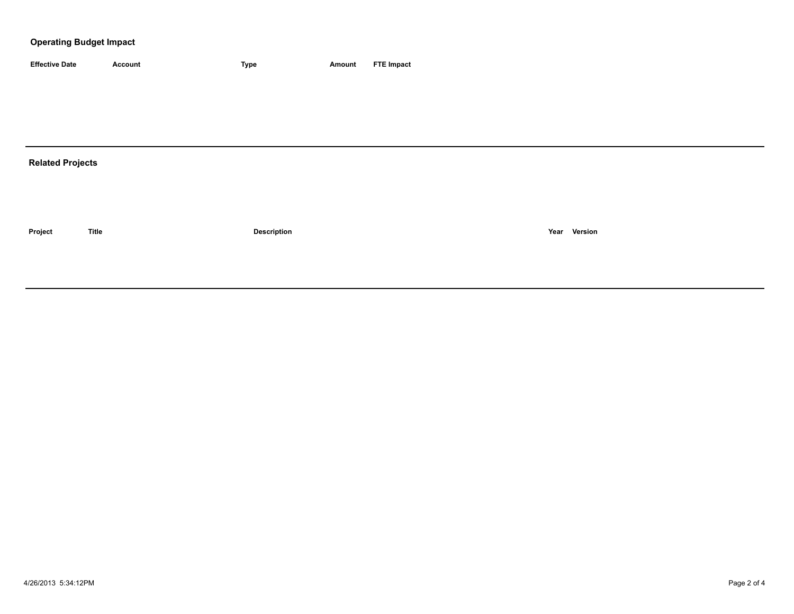## **Operating Budget Impact**

| <b>Effective Date</b>   | <b>Account</b> | <b>Type</b>        | <b>Amount</b> | <b>FTE Impact</b> |
|-------------------------|----------------|--------------------|---------------|-------------------|
|                         |                |                    |               |                   |
|                         |                |                    |               |                   |
|                         |                |                    |               |                   |
|                         |                |                    |               |                   |
| <b>Related Projects</b> |                |                    |               |                   |
|                         |                |                    |               |                   |
|                         |                |                    |               |                   |
|                         |                |                    |               |                   |
| Project                 | <b>Title</b>   | <b>Description</b> |               | Year Version      |
|                         |                |                    |               |                   |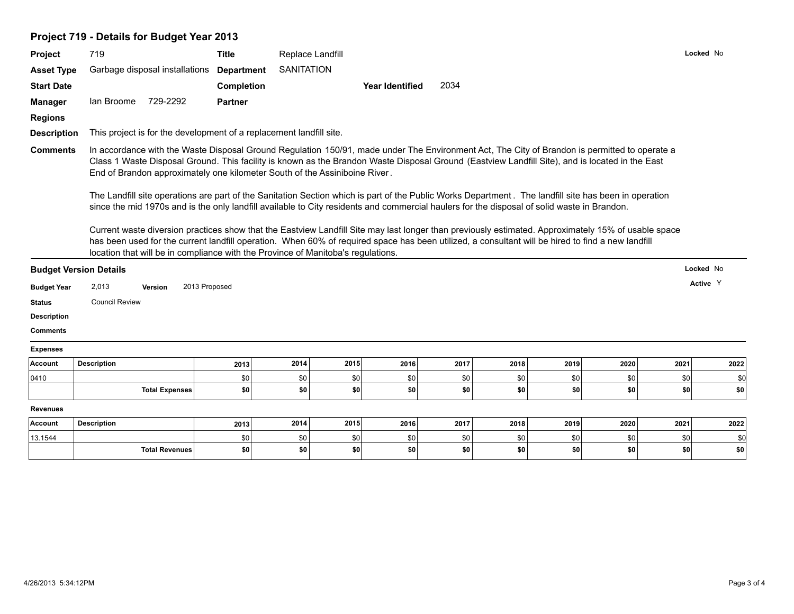## **Project 719 - Details for Budget Year 2013**

| Project            | 719                           |                                | <b>Title</b>                                                                                                                                                                                                                                                                                                                                                                                 |                   | Replace Landfill |                        |      |      |      |      |      | Locked No |
|--------------------|-------------------------------|--------------------------------|----------------------------------------------------------------------------------------------------------------------------------------------------------------------------------------------------------------------------------------------------------------------------------------------------------------------------------------------------------------------------------------------|-------------------|------------------|------------------------|------|------|------|------|------|-----------|
| <b>Asset Type</b>  |                               | Garbage disposal installations | <b>Department</b>                                                                                                                                                                                                                                                                                                                                                                            | <b>SANITATION</b> |                  |                        |      |      |      |      |      |           |
| <b>Start Date</b>  |                               |                                | Completion                                                                                                                                                                                                                                                                                                                                                                                   |                   |                  | <b>Year Identified</b> | 2034 |      |      |      |      |           |
| <b>Manager</b>     | lan Broome                    | 729-2292                       | <b>Partner</b>                                                                                                                                                                                                                                                                                                                                                                               |                   |                  |                        |      |      |      |      |      |           |
| <b>Regions</b>     |                               |                                |                                                                                                                                                                                                                                                                                                                                                                                              |                   |                  |                        |      |      |      |      |      |           |
| <b>Description</b> |                               |                                | This project is for the development of a replacement landfill site.                                                                                                                                                                                                                                                                                                                          |                   |                  |                        |      |      |      |      |      |           |
| <b>Comments</b>    |                               |                                | In accordance with the Waste Disposal Ground Regulation 150/91, made under The Environment Act, The City of Brandon is permitted to operate a<br>Class 1 Waste Disposal Ground. This facility is known as the Brandon Waste Disposal Ground (Eastview Landfill Site), and is located in the East<br>End of Brandon approximately one kilometer South of the Assiniboine River.               |                   |                  |                        |      |      |      |      |      |           |
|                    |                               |                                | The Landfill site operations are part of the Sanitation Section which is part of the Public Works Department. The landfill site has been in operation<br>since the mid 1970s and is the only landfill available to City residents and commercial haulers for the disposal of solid waste in Brandon.                                                                                         |                   |                  |                        |      |      |      |      |      |           |
|                    |                               |                                | Current waste diversion practices show that the Eastview Landfill Site may last longer than previously estimated. Approximately 15% of usable space<br>has been used for the current landfill operation. When 60% of required space has been utilized, a consultant will be hired to find a new landfill<br>location that will be in compliance with the Province of Manitoba's regulations. |                   |                  |                        |      |      |      |      |      |           |
|                    | <b>Budget Version Details</b> |                                |                                                                                                                                                                                                                                                                                                                                                                                              |                   |                  |                        |      |      |      |      |      | Locked No |
| <b>Budget Year</b> | 2,013                         | Version                        | 2013 Proposed                                                                                                                                                                                                                                                                                                                                                                                |                   |                  |                        |      |      |      |      |      | Active Y  |
| <b>Status</b>      | <b>Council Review</b>         |                                |                                                                                                                                                                                                                                                                                                                                                                                              |                   |                  |                        |      |      |      |      |      |           |
| <b>Description</b> |                               |                                |                                                                                                                                                                                                                                                                                                                                                                                              |                   |                  |                        |      |      |      |      |      |           |
| <b>Comments</b>    |                               |                                |                                                                                                                                                                                                                                                                                                                                                                                              |                   |                  |                        |      |      |      |      |      |           |
| <b>Expenses</b>    |                               |                                |                                                                                                                                                                                                                                                                                                                                                                                              |                   |                  |                        |      |      |      |      |      |           |
| Account            | <b>Description</b>            |                                | 2013                                                                                                                                                                                                                                                                                                                                                                                         | 2014              | 2015             | 2016                   | 2017 | 2018 | 2019 | 2020 | 2021 | 2022      |
| 0410               |                               |                                | \$0                                                                                                                                                                                                                                                                                                                                                                                          | \$0               | <b>\$0</b>       | \$0                    | \$0  | \$0  | \$0  | \$0  | \$0  | \$0       |
|                    |                               | <b>Total Expenses</b>          | \$0                                                                                                                                                                                                                                                                                                                                                                                          | \$0               | \$0              | \$0                    | \$0  | \$0  | \$0  | \$0  | \$0  | \$0       |
| <b>Revenues</b>    |                               |                                |                                                                                                                                                                                                                                                                                                                                                                                              |                   |                  |                        |      |      |      |      |      |           |
| Account            | <b>Description</b>            |                                | 2013                                                                                                                                                                                                                                                                                                                                                                                         | 2014              | 2015             | 2016                   | 2017 | 2018 | 2019 | 2020 | 2021 | 2022      |
| 13.1544            |                               |                                | \$0                                                                                                                                                                                                                                                                                                                                                                                          | \$0               | \$0              | \$0                    | \$0  | \$0  | \$0  | \$0  | \$0  | \$0       |
|                    |                               | <b>Total Revenues</b>          | \$0                                                                                                                                                                                                                                                                                                                                                                                          | \$0               | \$0              | \$0                    | \$0  | \$0  | \$0  | \$0  | \$0  | \$0       |